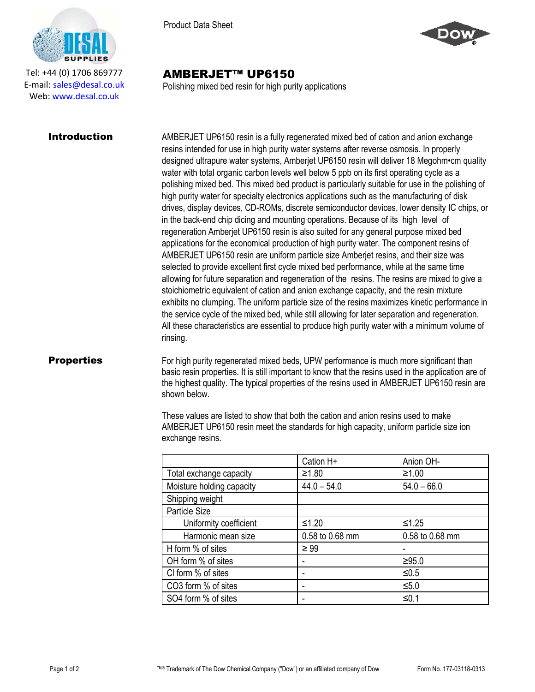

Tel: +44 (0) 1706 869777 E‐mail: sales@desal.co.uk Web: www.desal.co.uk

Product Data Sheet



## AMBERJET™ UP6150

Polishing mixed bed resin for high purity applications

**Introduction** AMBERJET UP6150 resin is a fully regenerated mixed bed of cation and anion exchange resins intended for use in high purity water systems after reverse osmosis. In properly designed ultrapure water systems, Amberjet UP6150 resin will deliver 18 Megohm•cm quality water with total organic carbon levels well below 5 ppb on its first operating cycle as a polishing mixed bed. This mixed bed product is particularly suitable for use in the polishing of high purity water for specialty electronics applications such as the manufacturing of disk drives, display devices, CD-ROMs, discrete semiconductor devices, lower density IC chips, or in the back-end chip dicing and mounting operations. Because of its high level of regeneration Amberjet UP6150 resin is also suited for any general purpose mixed bed applications for the economical production of high purity water. The component resins of AMBERJET UP6150 resin are uniform particle size Amberjet resins, and their size was selected to provide excellent first cycle mixed bed performance, while at the same time allowing for future separation and regeneration of the resins. The resins are mixed to give a stoichiometric equivalent of cation and anion exchange capacity, and the resin mixture exhibits no clumping. The uniform particle size of the resins maximizes kinetic performance in the service cycle of the mixed bed, while still allowing for later separation and regeneration. All these characteristics are essential to produce high purity water with a minimum volume of rinsing.

**Properties** For high purity regenerated mixed beds, UPW performance is much more significant than basic resin properties. It is still important to know that the resins used in the application are of the highest quality. The typical properties of the resins used in AMBERJET UP6150 resin are shown below.

> These values are listed to show that both the cation and anion resins used to make AMBERJET UP6150 resin meet the standards for high capacity, uniform particle size ion exchange resins.

|                           | Cation H+       | Anion OH-       |
|---------------------------|-----------------|-----------------|
| Total exchange capacity   | ≥1.80           | ≥1.00           |
| Moisture holding capacity | $44.0 - 54.0$   | $54.0 - 66.0$   |
| Shipping weight           |                 |                 |
| Particle Size             |                 |                 |
| Uniformity coefficient    | $≤1.20$         | $≤1.25$         |
| Harmonic mean size        | 0.58 to 0.68 mm | 0.58 to 0.68 mm |
| H form % of sites         | $\geq 99$       |                 |
| OH form % of sites        |                 | ≥95.0           |
| CI form % of sites        | ۰               | $≤0.5$          |
| CO3 form % of sites       | ۰               | $≤5.0$          |
| SO4 form % of sites       |                 | ≤0.1            |